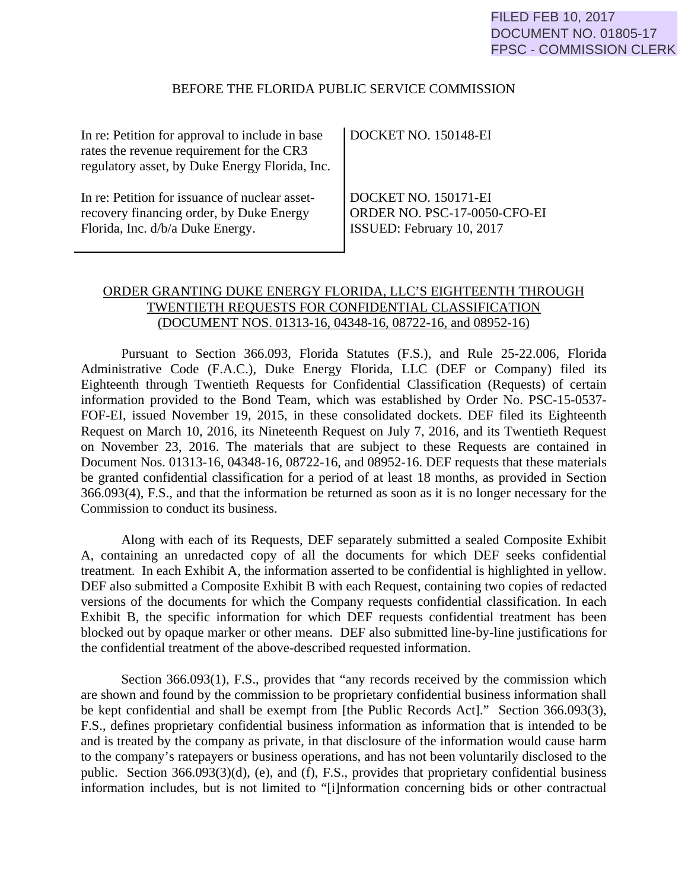## BEFORE THE FLORIDA PUBLIC SERVICE COMMISSION

| In re: Petition for approval to include in base<br>rates the revenue requirement for the CR3<br>regulatory asset, by Duke Energy Florida, Inc. | DOCKET NO. 150148-EI         |
|------------------------------------------------------------------------------------------------------------------------------------------------|------------------------------|
| In re: Petition for issuance of nuclear asset-                                                                                                 | DOCKET NO. 150171-EI         |
| recovery financing order, by Duke Energy                                                                                                       | ORDER NO. PSC-17-0050-CFO-EI |
| Florida, Inc. d/b/a Duke Energy.                                                                                                               | ISSUED: February 10, 2017    |

# ORDER GRANTING DUKE ENERGY FLORIDA, LLC'S EIGHTEENTH THROUGH TWENTIETH REQUESTS FOR CONFIDENTIAL CLASSIFICATION (DOCUMENT NOS. 01313-16, 04348-16, 08722-16, and 08952-16)

 Pursuant to Section 366.093, Florida Statutes (F.S.), and Rule 25-22.006, Florida Administrative Code (F.A.C.), Duke Energy Florida, LLC (DEF or Company) filed its Eighteenth through Twentieth Requests for Confidential Classification (Requests) of certain information provided to the Bond Team, which was established by Order No. PSC-15-0537- FOF-EI, issued November 19, 2015, in these consolidated dockets. DEF filed its Eighteenth Request on March 10, 2016, its Nineteenth Request on July 7, 2016, and its Twentieth Request on November 23, 2016. The materials that are subject to these Requests are contained in Document Nos. 01313-16, 04348-16, 08722-16, and 08952-16. DEF requests that these materials be granted confidential classification for a period of at least 18 months, as provided in Section 366.093(4), F.S., and that the information be returned as soon as it is no longer necessary for the Commission to conduct its business.

Along with each of its Requests, DEF separately submitted a sealed Composite Exhibit A, containing an unredacted copy of all the documents for which DEF seeks confidential treatment. In each Exhibit A, the information asserted to be confidential is highlighted in yellow. DEF also submitted a Composite Exhibit B with each Request, containing two copies of redacted versions of the documents for which the Company requests confidential classification. In each Exhibit B, the specific information for which DEF requests confidential treatment has been blocked out by opaque marker or other means. DEF also submitted line-by-line justifications for the confidential treatment of the above-described requested information.

Section 366.093(1), F.S., provides that "any records received by the commission which are shown and found by the commission to be proprietary confidential business information shall be kept confidential and shall be exempt from [the Public Records Act]." Section 366.093(3), F.S., defines proprietary confidential business information as information that is intended to be and is treated by the company as private, in that disclosure of the information would cause harm to the company's ratepayers or business operations, and has not been voluntarily disclosed to the public. Section 366.093(3)(d), (e), and (f), F.S., provides that proprietary confidential business information includes, but is not limited to "[i]nformation concerning bids or other contractual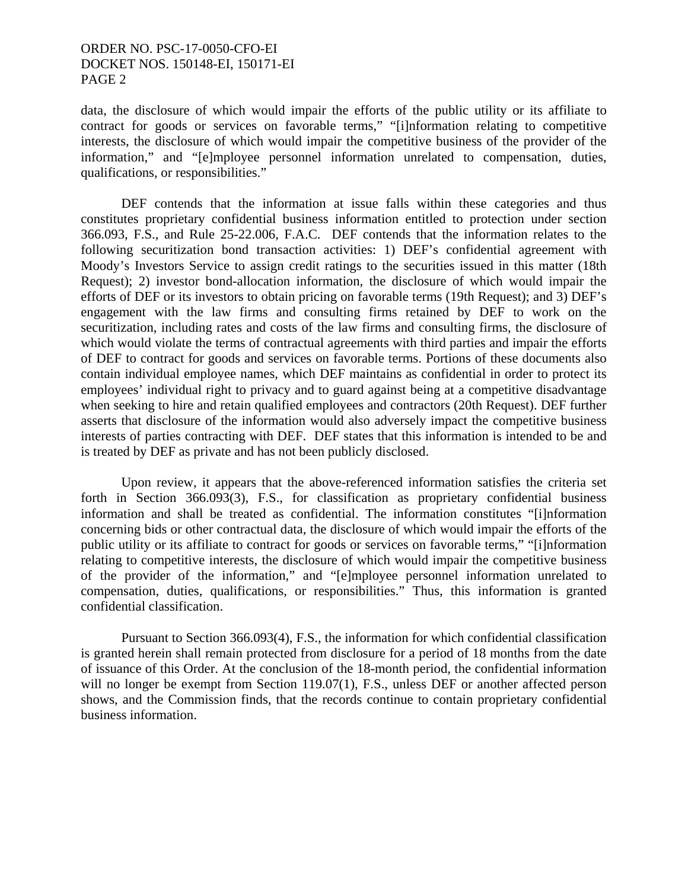# ORDER NO. PSC-17-0050-CFO-EI DOCKET NOS. 150148-EI, 150171-EI PAGE 2

data, the disclosure of which would impair the efforts of the public utility or its affiliate to contract for goods or services on favorable terms," "[i]nformation relating to competitive interests, the disclosure of which would impair the competitive business of the provider of the information," and "[e]mployee personnel information unrelated to compensation, duties, qualifications, or responsibilities."

 DEF contends that the information at issue falls within these categories and thus constitutes proprietary confidential business information entitled to protection under section 366.093, F.S., and Rule 25-22.006, F.A.C. DEF contends that the information relates to the following securitization bond transaction activities: 1) DEF's confidential agreement with Moody's Investors Service to assign credit ratings to the securities issued in this matter (18th Request); 2) investor bond-allocation information, the disclosure of which would impair the efforts of DEF or its investors to obtain pricing on favorable terms (19th Request); and 3) DEF's engagement with the law firms and consulting firms retained by DEF to work on the securitization, including rates and costs of the law firms and consulting firms, the disclosure of which would violate the terms of contractual agreements with third parties and impair the efforts of DEF to contract for goods and services on favorable terms. Portions of these documents also contain individual employee names, which DEF maintains as confidential in order to protect its employees' individual right to privacy and to guard against being at a competitive disadvantage when seeking to hire and retain qualified employees and contractors (20th Request). DEF further asserts that disclosure of the information would also adversely impact the competitive business interests of parties contracting with DEF. DEF states that this information is intended to be and is treated by DEF as private and has not been publicly disclosed.

 Upon review, it appears that the above-referenced information satisfies the criteria set forth in Section 366.093(3), F.S., for classification as proprietary confidential business information and shall be treated as confidential. The information constitutes "[i]nformation concerning bids or other contractual data, the disclosure of which would impair the efforts of the public utility or its affiliate to contract for goods or services on favorable terms," "[i]nformation relating to competitive interests, the disclosure of which would impair the competitive business of the provider of the information," and "[e]mployee personnel information unrelated to compensation, duties, qualifications, or responsibilities." Thus, this information is granted confidential classification.

 Pursuant to Section 366.093(4), F.S., the information for which confidential classification is granted herein shall remain protected from disclosure for a period of 18 months from the date of issuance of this Order. At the conclusion of the 18-month period, the confidential information will no longer be exempt from Section 119.07(1), F.S., unless DEF or another affected person shows, and the Commission finds, that the records continue to contain proprietary confidential business information.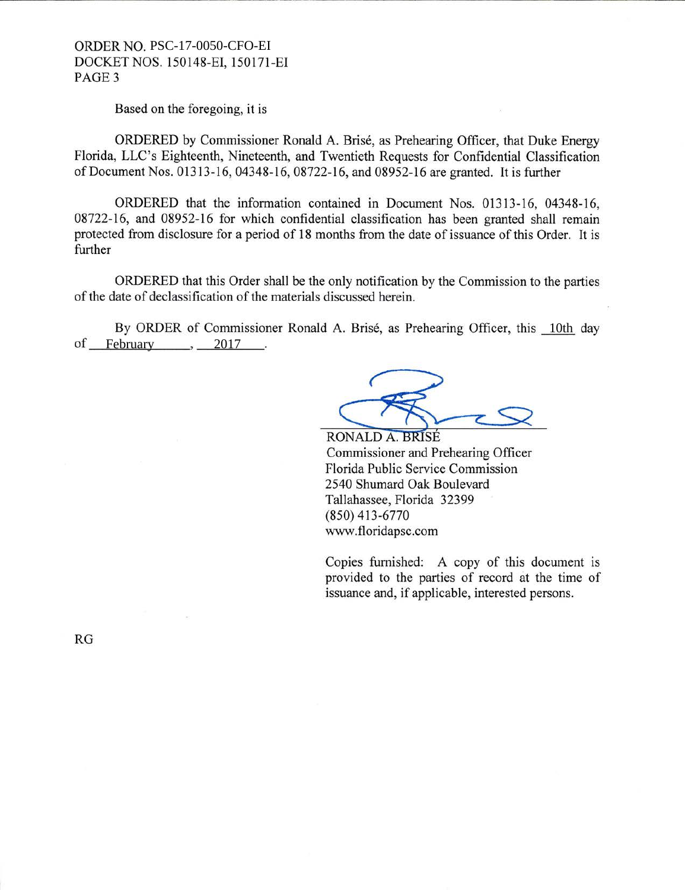### ORDER NO. PSC-17-0050-CFO-EI DOCKETNOS. 150148-EI, 150171-EI PAGE3

Based on the foregoing, it is

ORDERED by Commissioner Ronald A. Brise, as Prehearing Officer, that Duke Energy Florida, LLC's Eighteenth, Nineteenth, and Twentieth Requests for Confidential Classification of Document Nos. 01313-16, 04348-16, 08722-16, and 08952-16 are granted. It is further

ORDERED that the information contained in Document Nos. 01313-16, 04348-16, 08722-16, and 08952-16 for which confidential classification has been granted shall remain protected from disclosure for a period of 18 months from the date of issuance of this Order. It is further

ORDERED that this Order shall be the only notification by the Commission to the parties of the date of declassification of the materials discussed herein.

By ORDER of Commissioner Ronald A. Brisé, as Prehearing Officer, this 10th day of February  $\cdot$  2017 10th of February  $\qquad 2017$ .

RONALD A. BRISÉ Commissioner and Prehearing Officer Florida Public Service Commission 2540 Shumard Oak Boulevard Tallahassee, Florida 32399 (850) 413-6770 www .floridapsc.com

Copies furnished: A copy of this document is provided to the parties of record at the time of issuance and, if applicable, interested persons.

RG